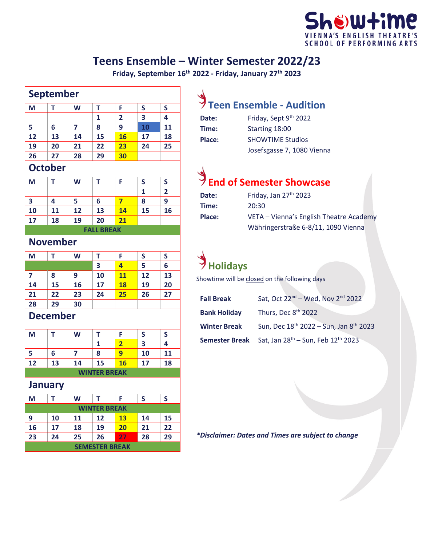#### hë)Wtime 'S ENGLISH TH **SCHOOL OF PERFORMING ARTS**

#### **Teens Ensemble – Winter Semester 2022/23**

**Friday, September 16th 2022 - Friday, January 27th 2023**

| T<br>T<br>F<br>S<br>W<br>S<br>3<br>4<br>1<br>2<br>7<br>10<br>11<br>6<br>8<br>9<br>13<br>15<br>18<br>14<br>16<br>17<br>23<br>20<br>21<br>22<br>24<br>25<br>30<br>27<br>28<br>29<br><b>October</b><br>W<br>T<br>F<br>S<br>S<br>Т<br>$\mathbf{1}$<br>$\overline{2}$<br>7<br>8<br>9<br>4<br>5<br>6<br>11<br>12<br>13<br>14<br>15<br>16<br>20<br>18<br>19<br>21<br><b>FALL BREAK</b><br><b>November</b><br>W<br>T<br>F<br>Т<br>S<br>S<br>5<br>4<br>6<br>3<br>11<br>12<br>13<br>10<br>8<br>9<br>17<br>18<br>19<br>20<br>15<br>16<br>22<br>23<br>25<br>27<br>24<br>26<br>29<br>30<br>T<br>T<br>W<br>F<br>S<br>S<br>$\overline{\mathbf{2}}$<br>3<br>4<br>1<br>7<br>9<br>11<br>6<br>8<br>10<br>14<br>15<br>16<br>17<br>18<br>13<br><b>WINTER BREAK</b><br>$\mathsf T$<br><b>W</b><br>T.<br>F.<br>S<br>S<br><b>WINTER BREAK</b><br>11<br>12<br>14<br>15<br>10<br><b>13</b><br>17<br>18<br>19<br>20<br>22<br>21<br>27<br>25<br>26<br>28<br>29<br>24<br><b>SEMESTER BREAK</b> |                 | <b>September</b> |  |  |  |  |
|-------------------------------------------------------------------------------------------------------------------------------------------------------------------------------------------------------------------------------------------------------------------------------------------------------------------------------------------------------------------------------------------------------------------------------------------------------------------------------------------------------------------------------------------------------------------------------------------------------------------------------------------------------------------------------------------------------------------------------------------------------------------------------------------------------------------------------------------------------------------------------------------------------------------------------------------------------------------|-----------------|------------------|--|--|--|--|
|                                                                                                                                                                                                                                                                                                                                                                                                                                                                                                                                                                                                                                                                                                                                                                                                                                                                                                                                                                   | M               |                  |  |  |  |  |
|                                                                                                                                                                                                                                                                                                                                                                                                                                                                                                                                                                                                                                                                                                                                                                                                                                                                                                                                                                   |                 |                  |  |  |  |  |
|                                                                                                                                                                                                                                                                                                                                                                                                                                                                                                                                                                                                                                                                                                                                                                                                                                                                                                                                                                   | 5               |                  |  |  |  |  |
|                                                                                                                                                                                                                                                                                                                                                                                                                                                                                                                                                                                                                                                                                                                                                                                                                                                                                                                                                                   | 12              |                  |  |  |  |  |
|                                                                                                                                                                                                                                                                                                                                                                                                                                                                                                                                                                                                                                                                                                                                                                                                                                                                                                                                                                   | 19              |                  |  |  |  |  |
|                                                                                                                                                                                                                                                                                                                                                                                                                                                                                                                                                                                                                                                                                                                                                                                                                                                                                                                                                                   | 26              |                  |  |  |  |  |
|                                                                                                                                                                                                                                                                                                                                                                                                                                                                                                                                                                                                                                                                                                                                                                                                                                                                                                                                                                   |                 |                  |  |  |  |  |
|                                                                                                                                                                                                                                                                                                                                                                                                                                                                                                                                                                                                                                                                                                                                                                                                                                                                                                                                                                   | M               |                  |  |  |  |  |
|                                                                                                                                                                                                                                                                                                                                                                                                                                                                                                                                                                                                                                                                                                                                                                                                                                                                                                                                                                   |                 |                  |  |  |  |  |
|                                                                                                                                                                                                                                                                                                                                                                                                                                                                                                                                                                                                                                                                                                                                                                                                                                                                                                                                                                   | 3               |                  |  |  |  |  |
|                                                                                                                                                                                                                                                                                                                                                                                                                                                                                                                                                                                                                                                                                                                                                                                                                                                                                                                                                                   | 10              |                  |  |  |  |  |
|                                                                                                                                                                                                                                                                                                                                                                                                                                                                                                                                                                                                                                                                                                                                                                                                                                                                                                                                                                   | 17              |                  |  |  |  |  |
|                                                                                                                                                                                                                                                                                                                                                                                                                                                                                                                                                                                                                                                                                                                                                                                                                                                                                                                                                                   |                 |                  |  |  |  |  |
|                                                                                                                                                                                                                                                                                                                                                                                                                                                                                                                                                                                                                                                                                                                                                                                                                                                                                                                                                                   |                 |                  |  |  |  |  |
|                                                                                                                                                                                                                                                                                                                                                                                                                                                                                                                                                                                                                                                                                                                                                                                                                                                                                                                                                                   | M               |                  |  |  |  |  |
|                                                                                                                                                                                                                                                                                                                                                                                                                                                                                                                                                                                                                                                                                                                                                                                                                                                                                                                                                                   |                 |                  |  |  |  |  |
|                                                                                                                                                                                                                                                                                                                                                                                                                                                                                                                                                                                                                                                                                                                                                                                                                                                                                                                                                                   | 7               |                  |  |  |  |  |
|                                                                                                                                                                                                                                                                                                                                                                                                                                                                                                                                                                                                                                                                                                                                                                                                                                                                                                                                                                   | 14              |                  |  |  |  |  |
|                                                                                                                                                                                                                                                                                                                                                                                                                                                                                                                                                                                                                                                                                                                                                                                                                                                                                                                                                                   | 21              |                  |  |  |  |  |
|                                                                                                                                                                                                                                                                                                                                                                                                                                                                                                                                                                                                                                                                                                                                                                                                                                                                                                                                                                   | 28              |                  |  |  |  |  |
|                                                                                                                                                                                                                                                                                                                                                                                                                                                                                                                                                                                                                                                                                                                                                                                                                                                                                                                                                                   | <b>December</b> |                  |  |  |  |  |
|                                                                                                                                                                                                                                                                                                                                                                                                                                                                                                                                                                                                                                                                                                                                                                                                                                                                                                                                                                   | M               |                  |  |  |  |  |
|                                                                                                                                                                                                                                                                                                                                                                                                                                                                                                                                                                                                                                                                                                                                                                                                                                                                                                                                                                   |                 |                  |  |  |  |  |
|                                                                                                                                                                                                                                                                                                                                                                                                                                                                                                                                                                                                                                                                                                                                                                                                                                                                                                                                                                   | 5               |                  |  |  |  |  |
|                                                                                                                                                                                                                                                                                                                                                                                                                                                                                                                                                                                                                                                                                                                                                                                                                                                                                                                                                                   | 12              |                  |  |  |  |  |
|                                                                                                                                                                                                                                                                                                                                                                                                                                                                                                                                                                                                                                                                                                                                                                                                                                                                                                                                                                   |                 |                  |  |  |  |  |
|                                                                                                                                                                                                                                                                                                                                                                                                                                                                                                                                                                                                                                                                                                                                                                                                                                                                                                                                                                   | <b>January</b>  |                  |  |  |  |  |
|                                                                                                                                                                                                                                                                                                                                                                                                                                                                                                                                                                                                                                                                                                                                                                                                                                                                                                                                                                   | M               |                  |  |  |  |  |
|                                                                                                                                                                                                                                                                                                                                                                                                                                                                                                                                                                                                                                                                                                                                                                                                                                                                                                                                                                   |                 |                  |  |  |  |  |
|                                                                                                                                                                                                                                                                                                                                                                                                                                                                                                                                                                                                                                                                                                                                                                                                                                                                                                                                                                   | 9               |                  |  |  |  |  |
|                                                                                                                                                                                                                                                                                                                                                                                                                                                                                                                                                                                                                                                                                                                                                                                                                                                                                                                                                                   | 16              |                  |  |  |  |  |
|                                                                                                                                                                                                                                                                                                                                                                                                                                                                                                                                                                                                                                                                                                                                                                                                                                                                                                                                                                   | 23              |                  |  |  |  |  |
|                                                                                                                                                                                                                                                                                                                                                                                                                                                                                                                                                                                                                                                                                                                                                                                                                                                                                                                                                                   |                 |                  |  |  |  |  |

## **Teen Ensemble - Audition**

| Date:  | Friday, Sept 9th 2022      |
|--------|----------------------------|
| Time:  | Starting 18:00             |
| Place: | <b>SHOWTIME Studios</b>    |
|        | Josefsgasse 7, 1080 Vienna |

# **End of Semester Showcase**

| Date:  | Friday, Jan 27 <sup>th</sup> 2023       |
|--------|-----------------------------------------|
| Time:  | 20:30                                   |
| Place: | VETA - Vienna's English Theatre Academy |
|        | Währingerstraße 6-8/11, 1090 Vienna     |

### **Holidays**

Showtime will be closed on the following days

| <b>Fall Break</b>     | Sat, Oct 22 <sup>nd</sup> – Wed, Nov 2 <sup>nd</sup> 2022      |
|-----------------------|----------------------------------------------------------------|
| <b>Bank Holiday</b>   | Thurs, Dec 8 <sup>th</sup> 2022                                |
| <b>Winter Break</b>   | Sun, Dec 18 <sup>th</sup> 2022 - Sun, Jan 8 <sup>th</sup> 2023 |
| <b>Semester Break</b> | Sat, Jan 28 <sup>th</sup> - Sun, Feb 12 <sup>th</sup> 2023     |

*\*Disclaimer: Dates and Times are subject to change*